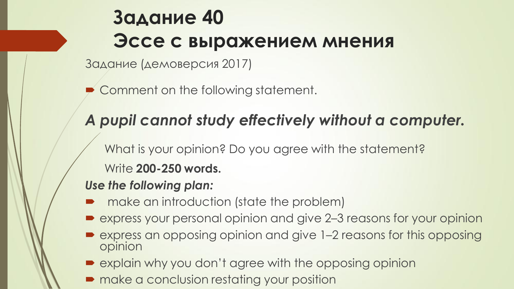# **Задание 40 Эссе с выражением мнения**

Задание (демоверсия 2017)

Comment on the following statement.

## *A pupil cannot study effectively without a computer.*

What is your opinion? Do you agree with the statement? Write **200-250 words.**

### *Use the following plan:*

- make an introduction (state the problem)
- express your personal opinion and give 2–3 reasons for your opinion
- express an opposing opinion and give 1–2 reasons for this opposing opinion
- explain why you don't agree with the opposing opinion
- $\blacksquare$  make a conclusion restating your position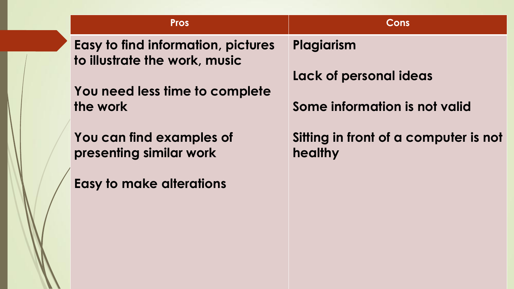**Pros Cons**

**Easy to find information, pictures to illustrate the work, music**

**You need less time to complete the work**

**You can find examples of presenting similar work**

**Easy to make alterations**

**Plagiarism** 

**Lack of personal ideas**

**Some information is not valid**

**Sitting in front of a computer is not healthy**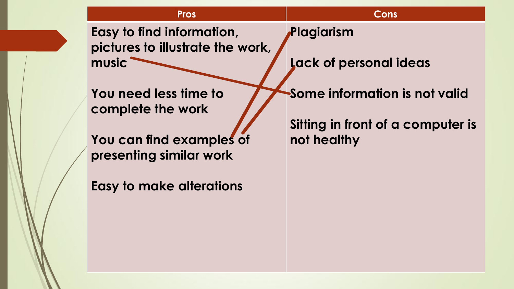**Pros Cons**

**Easy to find information, pictures to illustrate the work, music**

**You need less time to complete the work**

**You can find examples of presenting similar work**

**Easy to make alterations**

**Plagiarism** 

**Lack of personal ideas**

**Some information is not valid**

**Sitting in front of a computer is not healthy**